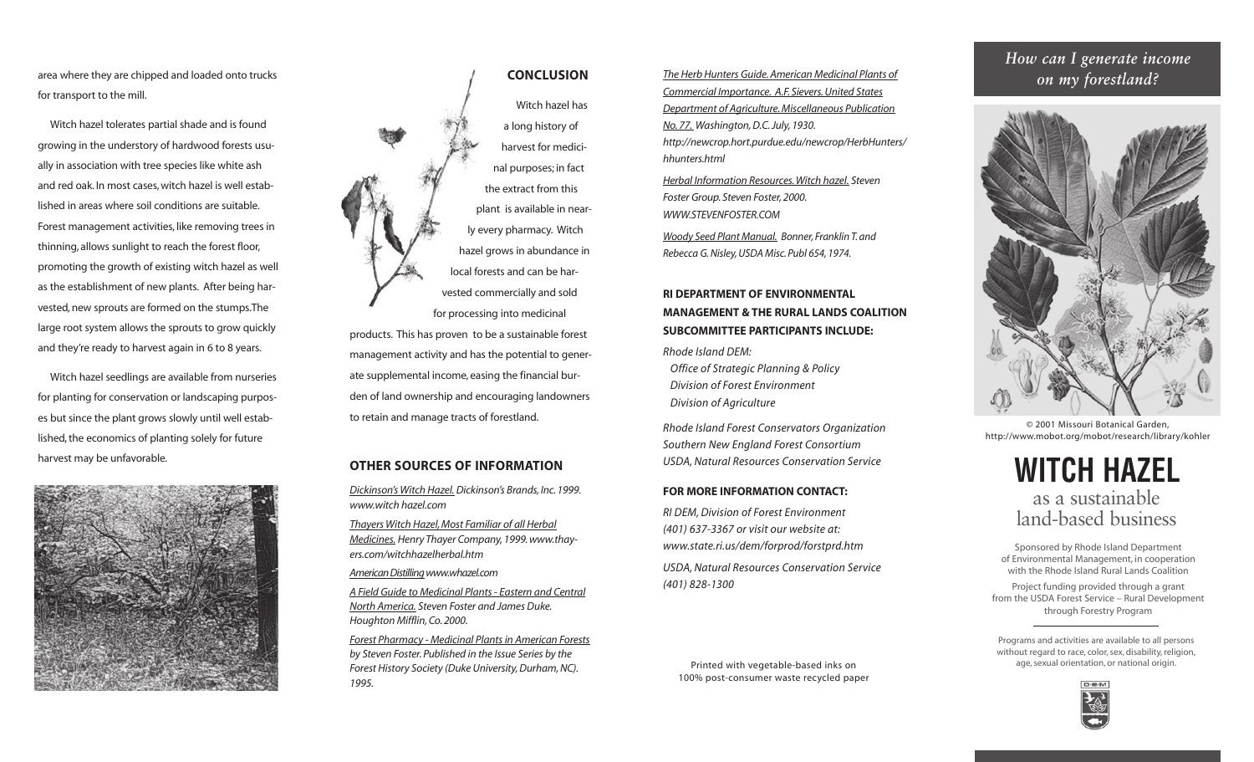area where they are chipped and loaded onto trucks for transport to the mill.

Witch hazel tolerates partial shade and is found growing in the understory of hardwood forests usually in association with tree species like white ash and red oak. In most cases, witch hazel is well established in areas where soil conditions are suitable. Forest management activities, like removing trees in thinning, allows sunlight to reach the forest floor, promoting the growth of existing witch hazel as well as the establishment of new plants. After being harvested, new sprouts are formed on the stumps.The large root system allows the sprouts to grow quickly and they're ready to harvest again in 6 to 8 years.

Witch hazel seedlings are available from nurseries for planting for conservation or landscaping purposes but since the plant grows slowly until well established, the economics of planting solely for future harvest may be unfavorable.





Witch hazel has a long history of harvest for medicinal purposes; in fact the extract from this plant is available in nearly every pharmacy. Witch hazel grows in abundance in local forests and can be harvested commercially and sold for processing into medicinal

products. This has proven to be a sustainable forest management activity and has the potential to generate supplemental income, easing the financial burden of land ownership and encouraging landowners to retain and manage tracts of forestland.

# **OTHER SOURCES OF INFORMATION**

*Dickinson's Witch Hazel. Dickinson's Brands, Inc. 1999. www.witch hazel.com*

*Thayers Witch Hazel, Most Familiar of all Herbal Medicines. Henry Thayer Company, 1999. www.thayers.com/witchhazelherbal.htm*

*American Distillingwww.whazel.com*

*A Field Guide to Medicinal Plants - Eastern and Central North America. Steven Foster and James Duke. Houghton Mifflin, Co. 2000.*

*Forest Pharmacy - Medicinal Plants in American Forests by Steven Foster. Published in the Issue Series by the Forest History Society (Duke University, Durham, NC). 1995.*

*on my forestland?* **<sup>222222222222222222222222222222222222222222222</sup>** *The Herb Hunters Guide. American Medicinal Plants of Commercial Importance. A.F. Sievers. United States Department of Agriculture. Miscellaneous Publication No. 77. Washington, D.C. July, 1930. http://newcrop.hort.purdue.edu/newcrop/HerbHunters/ hhunters.html* 

*Herbal Information Resources.Witch hazel. Steven Foster Group. Steven Foster, 2000. WWW.STEVENFOSTER.COM*

*Woody Seed Plant Manual. Bonner, Franklin T. and Rebecca G. Nisley, USDA Misc. Publ 654, 1974.*

# **RI DEPARTMENT OF ENVIRONMENTAL MANAGEMENT & THE RURAL LANDS COALITION SUBCOMMITTEE PARTICIPANTS INCLUDE:**

*Rhode Island DEM: Office of Strategic Planning & Policy Division of Forest Environment Division of Agriculture* 

*Rhode Island Forest Conservators Organization Southern New England Forest Consortium USDA, Natural Resources Conservation Service*

## **FOR MORE INFORMATION CONTACT:**

*RI DEM, Division of Forest Environment (401) 637-3367 or visit our website at: www.state.ri.us/dem/forprod/forstprd.htm USDA, Natural Resources Conservation Service (401) 828-1300*

Printed with vegetable-based inks on 100% post-consumer waste recycled paper

# *How can I generate income*



© 2001 Missouri Botanical Garden, http://www.mobot.org/mobot/research/library/kohler



Sponsored by Rhode Island Department of Environmental Management, in cooperation with the Rhode Island Rural Lands Coalition

Project funding provided through a grant from the USDA Forest Service – Rural Development through Forestry Program

Programs and activities are available to all persons without regard to race, color, sex, disability, religion, age, sexual orientation, or national origin.